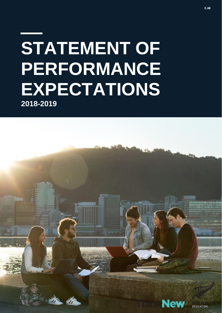# **STATEMENT OF PERFORMANCE EXPECTATIONS 2018-2019**

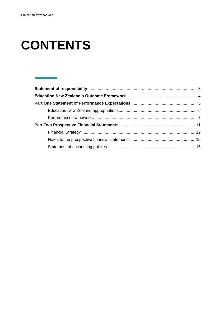## **CONTENTS**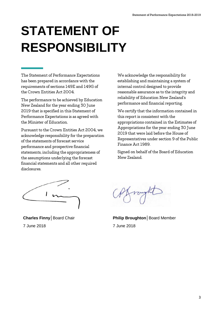## <span id="page-2-0"></span>**STATEMENT OF RESPONSIBILITY**

The Statement of Performance Expectations has been prepared in accordance with the requirements of sections 149E and 149G of the Crown Entities Act 2004.

The performance to be achieved by Education New Zealand for the year ending 30 June 2019 that is specified in this Statement of Performance Expectations is as agreed with the Minister of Education.

Pursuant to the Crown Entities Act 2004, we acknowledge responsibility for the preparation of the statements of forecast service performance and prospective financial statements, including the appropriateness of the assumptions underlying the forecast financial statements and all other required disclosures.

We acknowledge the responsibility for establishing and maintaining a system of internal control designed to provide reasonable assurance as to the integrity and reliability of Education New Zealand's performance and financial reporting.

We certify that the information contained in this report is consistent with the appropriations contained in the Estimates of Appropriations for the year ending 30 June 2019 that were laid before the House of Representatives under section 9 of the Public Finance Act 1989.

Signed on behalf of the Board of Education New Zealand.

**Charles Finny│**Board Chair 7 June 2018

**Philip Broughton│**Board Member 7 June 2018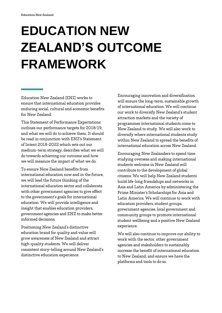## <span id="page-3-0"></span>**EDUCATION NEW ZEALAND'S OUTCOME FRAMEWORK**

Education New Zealand (ENZ) works to ensure that international education provides enduring social, cultural and economic benefits for New Zealand.

This Statement of Performance Expectations outlines our performance targets for 2018/19, and what we will do to achieve them. It should be read in conjunction with ENZ's Statement of Intent 2018-2022 which sets out our medium-term strategy, describes what we will do towards achieving our outcome and how we will measure the impact of what we do.

To ensure New Zealand benefits from international education now and in the future, we will lead the future thinking of the international education sector and collaborate with other government agencies to give effect to the government's goals for international education. We will provide intelligence and insight that enables education providers, government agencies and ENZ to make better informed decisions.

Positioning New Zealand's distinctive education brand for quality and value will grow awareness of New Zealand and attract high-quality students. We will deliver consistent story-telling around New Zealand's distinctive education experience.

Encouraging innovation and diversification will ensure the long-term, sustainable growth of international education. We will continue our work to diversify New Zealand's student attraction markets and the variety of programmes international students come to New Zealand to study. We will also work to diversify where international students study within New Zealand to spread the benefits of international education across New Zealand.

Encouraging New Zealanders to spend time studying overseas and making international students welcome in New Zealand will contribute to the development of global citizens. We will help New Zealand students build life-long friendships and networks in Asia and Latin America by administering the Prime Minister's Scholarships for Asia and Latin America. We will continue to work with education providers, student groups, government agencies, local government and community groups to promote international student wellbeing and a positive New Zealand experience.

We will also continue to improve our ability to work with the sector, other government agencies and stakeholders to sustainably increase the benefit of international education to New Zealand, and ensure we have the platforms and tools to do so.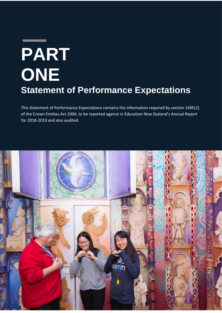# <span id="page-4-0"></span>**PART ONE Statement of Performance Expectations**

This Statement of Performance Expectations contains the information required by section 149E(2) of the Crown Entities Act 2004, to be reported against in Education New Zealand's Annual Report for 2018-2019 and also audited.

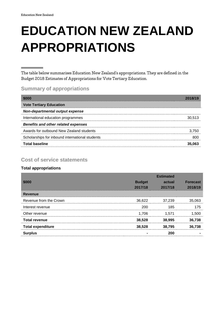## <span id="page-5-0"></span>**EDUCATION NEW ZEALAND APPROPRIATIONS**

The table below summarises Education New Zealand's appropriations. They are defined in the Budget 2018 Estimates of Appropriations for Vote Tertiary Education.

### **Summary of appropriations**

| \$000                                           |        |
|-------------------------------------------------|--------|
| <b>Vote Tertiary Education</b>                  |        |
| Non-departmental output expense                 |        |
| International education programmes              | 30.513 |
| <b>Benefits and other related expenses</b>      |        |
| Awards for outbound New Zealand students        | 3.750  |
| Scholarships for inbound international students | 800    |
| <b>Total baseline</b>                           | 35.063 |

### **Cost of service statements**

#### **Total appropriations**

|                          |               | <b>Estimated</b> |                 |
|--------------------------|---------------|------------------|-----------------|
| \$000                    | <b>Budget</b> | actual           | <b>Forecast</b> |
|                          | 2017/18       | 2017/18          | 2018/19         |
| Revenue                  |               |                  |                 |
| Revenue from the Crown   | 36,622        | 37,239           | 35,063          |
| Interest revenue         | 200           | 185              | 175             |
| Other revenue            | 1.706         | 1.571            | 1,500           |
| <b>Total revenue</b>     | 38,528        | 38,995           | 36,738          |
| <b>Total expenditure</b> | 38,528        | 38,795           | 36,738          |
| <b>Surplus</b>           |               | 200              |                 |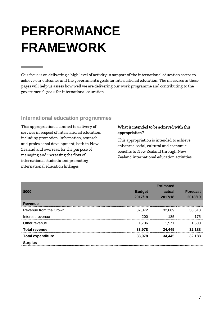## <span id="page-6-0"></span>**PERFORMANCE FRAMEWORK**

Our focus is on delivering a high level of activity in support of the international education sector to achieve our outcomes and the government's goals for international education. The measures in these pages will help us assess how well we are delivering our work programme and contributing to the government's goals for international education.

### **International education programmes**

This appropriation is limited to delivery of services in respect of international education, including promotion, information, research and professional development, both in New Zealand and overseas, for the purpose of managing and increasing the flow of international students and promoting international education linkages.

#### What is intended to be achieved with this appropriation?

This appropriation is intended to achieve enhanced social, cultural and economic benefits to New Zealand through New Zealand international education activities.

|                          |               | <b>Estimated</b> |                 |
|--------------------------|---------------|------------------|-----------------|
| \$000                    | <b>Budget</b> | actual           | <b>Forecast</b> |
|                          | 2017/18       | 2017/18          | 2018/19         |
| <b>Revenue</b>           |               |                  |                 |
| Revenue from the Crown   | 32,072        | 32,689           | 30,513          |
| Interest revenue         | 200           | 185              | 175             |
| Other revenue            | 1.706         | 1.571            | 1,500           |
| <b>Total revenue</b>     | 33,978        | 34,445           | 32,188          |
| <b>Total expenditure</b> | 33,978        | 34,445           | 32,188          |
| <b>Surplus</b>           |               |                  |                 |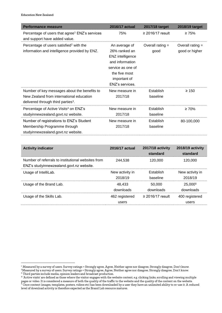| <b>Performance measure</b>                                                                                                                 | <b>2016/17 actual</b>                                                                                                                          | 2017/18 target             | 2018/19 target                       |
|--------------------------------------------------------------------------------------------------------------------------------------------|------------------------------------------------------------------------------------------------------------------------------------------------|----------------------------|--------------------------------------|
| Percentage of users that agree <sup>1</sup> ENZ's services<br>and support have added value.                                                | 75%                                                                                                                                            | $\geq$ 2016/17 result      | $\geq 75\%$                          |
| Percentage of users satisfied <sup>2</sup> with the<br>information and intelligence provided by ENZ.                                       | An average of<br>26% ranked an<br>ENZ intelligence<br>and information<br>service as one of<br>the five most<br>important of<br>ENZ's services. | Overall rating $=$<br>good | Overall rating $=$<br>good or higher |
| Number of key messages about the benefits to<br>New Zealand from international education<br>delivered through third parties <sup>3</sup> . | New measure in<br>2017/18                                                                                                                      | Establish<br>baseline      | $\geq 150$                           |
| Percentage of Active Visits <sup>4</sup> on ENZ's<br>studyinnewzealand.govt.nz website.                                                    | New measure in<br>2017/18                                                                                                                      | Establish<br>baseline      | $\geq 70\%$                          |
| Number of registrations to ENZ's Student<br>Membership Programme through<br>studyinnewzealand.govt.nz website.                             | New measure in<br>2017/18                                                                                                                      | Establish<br>baseline      | 80-100,000                           |

| <b>Activity indicator</b>                                                                      | 2016/17 actual             | 2017/18 activity<br>standard | 2018/19 activity<br>standard     |
|------------------------------------------------------------------------------------------------|----------------------------|------------------------------|----------------------------------|
| Number of referrals to institutional websites from<br>ENZ's studyinnewzealand.govt.nz website. | 244.538                    | 120,000                      | 120.000                          |
| Usage of IntelliLab.                                                                           | New activity in<br>2018/19 | Establish<br>baseline        | New activity in<br>2018/19       |
| Usage of the Brand Lab.                                                                        | 48.433<br>downloads        | 50,000<br>downloads          | 25,000 <sup>5</sup><br>downloads |
| Usage of the Skills Lab.                                                                       | 462 registered<br>users    | $\geq$ 2016/17 result        | 400 registered<br>users          |

**<sup>.</sup>**  $1$  Measured by a survey of users. Survey ratings = Strongly agree, Agree, Neither agree nor disagree, Strongly disagree, Don't know.

 $^2$ Measured by a survey of users. Survey ratings = Strongly agree, Agree, Neither agree nor disagree, Strongly disagree, Don't know. <sup>3</sup> Third parties include media, opinion leaders and broadcast production.<br><sup>4</sup> 'Active visits' are defined as those where the visitor engages with the website content, e.g. clicking links, scrolling and viewing multiple

pages or video. It is considered a measure of both the quality of the traffic to the website and the quality of the content on the website.  $^{\rm 5}$  Once content (images, templates, posters, videos etc) has been downloaded by a user they have an unlimited ability to re-use it. A reduced level of download activity is therefore expected as the Brand Lab resource matures.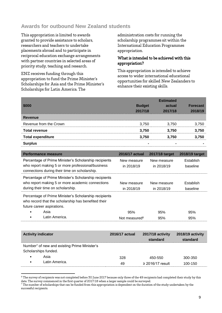### **Awards for outbound New Zealand students**

This appropriation is limited to awards granted to provide assistance to scholars, researchers and teachers to undertake placements abroad and to participate in reciprocal education exchange arrangements with partner countries in selected areas of priority study, teaching and research.

ENZ receives funding through this appropriation to fund the Prime Minister's Scholarships for Asia and the Prime Minister's Scholarships for Latin America. The

**.** 

administration costs for running the scholarship programmes sit within the International Education Programmes appropriation.

#### What is intended to be achieved with this appropriation?

This appropriation is intended to achieve access to wider international educational opportunities for skilled New Zealanders to enhance their existing skills.

| \$000                    | <b>Budget</b><br>2017/18 | <b>Estimated</b><br>actual<br>2017/18 | <b>Forecast</b><br>2018/19 |
|--------------------------|--------------------------|---------------------------------------|----------------------------|
| <b>Revenue</b>           |                          |                                       |                            |
| Revenue from the Crown   | 3,750                    | 3,750                                 | 3,750                      |
| <b>Total revenue</b>     | 3,750                    | 3,750                                 | 3,750                      |
| <b>Total expenditure</b> | 3,750                    | 3,750                                 | 3,750                      |
| <b>Surplus</b>           | $\blacksquare$           | -                                     |                            |

| Performance measure                                                                                                                                         | 2016/17 actual            | 2017/18 target            | 2018/19 target        |
|-------------------------------------------------------------------------------------------------------------------------------------------------------------|---------------------------|---------------------------|-----------------------|
| Percentage of Prime Minister's Scholarship recipients<br>who report making 5 or more professional/business<br>connections during their time on scholarship. | New measure<br>in 2018/19 | New measure<br>in 2018/19 | Establish<br>baseline |
| Percentage of Prime Minister's Scholarship recipients<br>who report making 5 or more academic connections<br>during their time on scholarship.              | New measure<br>in 2018/19 | New measure<br>in 2018/19 | Establish<br>baseline |
| Percentage of Prime Minister's Scholarship recipients<br>who record that the scholarship has benefited their<br>future career aspirations.                  |                           |                           |                       |
| Asia                                                                                                                                                        | 95%                       | 95%                       | 95%                   |
| Latin America.                                                                                                                                              | Not measured <sup>6</sup> | 95%                       | 95%                   |

| <b>Activity indicator</b>                                                        | 2016/17 actual | 2017/18 activity<br>standard     | 2018/19 activity<br>standard |
|----------------------------------------------------------------------------------|----------------|----------------------------------|------------------------------|
| Number <sup>7</sup> of new and existing Prime Minister's<br>Scholarships funded. |                |                                  |                              |
| Asia<br>$\bullet$<br>Latin America.<br>$\bullet$                                 | 328<br>49      | 450-550<br>$\geq$ 2016/17 result | 300-350<br>100-150           |

<sup>&</sup>lt;sup>6</sup> The survey of recipients was not completed before 30 June 2017 because only three of the 49 recipients had completed their study by this date. The survey commenced in the first quarter of 2017/18 when a larger sample could be surveyed.

 $^7$  The number of scholarships that can be funded from this appropriation is dependent on the duration of the study undertaken by the successful recipients.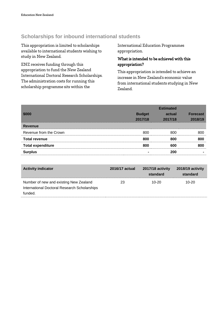### **Scholarships for inbound international students**

This appropriation is limited to scholarships available to international students wishing to study in New Zealand.

ENZ receives funding through this appropriation to fund the New Zealand International Doctoral Research Scholarships. The administration costs for running this scholarship programme sits within the

International Education Programmes appropriation.

#### What is intended to be achieved with this appropriation?

This appropriation is intended to achieve an increase in New Zealand's economic value from international students studying in New Zealand.

|                          |                | <b>Estimated</b> |                 |
|--------------------------|----------------|------------------|-----------------|
| \$000                    | <b>Budget</b>  | actual           | <b>Forecast</b> |
|                          | 2017/18        | 2017/18          | 2018/19         |
| <b>Revenue</b>           |                |                  |                 |
| Revenue from the Crown   | 800            | 800              | 800             |
| <b>Total revenue</b>     | 800            | 800              | 800             |
| <b>Total expenditure</b> | 800            | 600              | 800             |
| <b>Surplus</b>           | $\blacksquare$ | 200              |                 |

| <b>Activity indicator</b>                    | <b>2016/17 actual</b> | 2017/18 activity<br>standard | 2018/19 activity<br>standard |
|----------------------------------------------|-----------------------|------------------------------|------------------------------|
| Number of new and existing New Zealand       | 23                    | $10-20$                      | $10-20$                      |
| International Doctoral Research Scholarships |                       |                              |                              |
| funded.                                      |                       |                              |                              |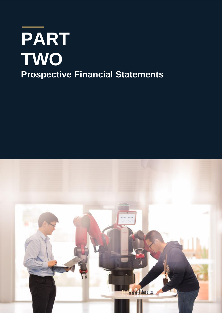# <span id="page-10-0"></span>**PART TWO Prospective Financial Statements**

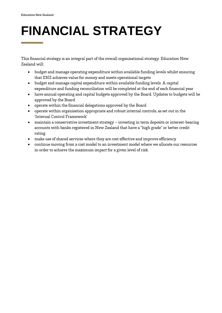## <span id="page-11-0"></span>**FINANCIAL STRATEGY**

This financial strategy is an integral part of the overall organisational strategy. Education New Zealand will:

- budget and manage operating expenditure within available funding levels whilst ensuring that ENZ achieves value for money and meets operational targets
- budget and manage capital expenditure within available funding levels. A capital expenditure and funding reconciliation will be completed at the end of each financial year
- have annual operating and capital budgets approved by the Board. Updates to budgets will be approved by the Board
- operate within the financial delegations approved by the Board
- operate within organisation appropriate and robust internal controls, as set out in the 'Internal Control Framework'
- maintain a conservative investment strategy investing in term deposits or interest-bearing accounts with banks registered in New Zealand that have a "high grade" or better credit rating
- make use of shared services where they are cost effective and improve efficiency
- continue moving from a cost model to an investment model where we allocate our resources in order to achieve the maximum impact for a given level of risk.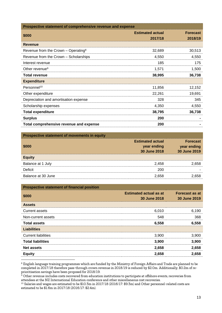| Prospective statement of comprehensive revenue and expense |                                    |                            |
|------------------------------------------------------------|------------------------------------|----------------------------|
| \$000                                                      | <b>Estimated actual</b><br>2017/18 | <b>Forecast</b><br>2018/19 |
| <b>Revenue</b>                                             |                                    |                            |
| Revenue from the Crown - Operating <sup>8</sup>            | 32,689                             | 30,513                     |
| Revenue from the Crown - Scholarships                      | 4,550                              | 4,550                      |
| Interest revenue                                           | 185                                | 175                        |
| Other revenue <sup>9</sup>                                 | 1,571                              | 1,500                      |
| <b>Total revenue</b>                                       | 38,995                             | 36,738                     |
| <b>Expenditure</b>                                         |                                    |                            |
| Personnel <sup>10</sup>                                    | 11,856                             | 12,152                     |
| Other expenditure                                          | 22,261                             | 19,691                     |
| Depreciation and amortisation expense                      | 328                                | 345                        |
| Scholarship expenses                                       | 4,350                              | 4,550                      |
| <b>Total expenditure</b>                                   | 38,795                             | 36,738                     |
| <b>Surplus</b>                                             | 200                                |                            |
| Total comprehensive revenue and expense                    | 200                                |                            |

| Prospective statement of movements in equity |                                                        |                                                |
|----------------------------------------------|--------------------------------------------------------|------------------------------------------------|
| \$000                                        | <b>Estimated actual</b><br>year ending<br>30 June 2018 | <b>Forecast</b><br>year ending<br>30 June 2019 |
| <b>Equity</b>                                |                                                        |                                                |
| Balance at 1 July                            | 2.458                                                  | 2.658                                          |
| Deficit                                      | 200                                                    |                                                |
| Balance at 30 June                           | 2.658                                                  | 2.658                                          |

| <b>Prospective statement of financial position</b> |                               |                       |
|----------------------------------------------------|-------------------------------|-----------------------|
| \$000                                              | <b>Estimated actual as at</b> | <b>Forecast as at</b> |
|                                                    | 30 June 2018                  | 30 June 2019          |
| <b>Assets</b>                                      |                               |                       |
| <b>Current assets</b>                              | 6,010                         | 6,190                 |
| Non-current assets                                 | 548                           | 368                   |
| <b>Total assets</b>                                | 6,558                         | 6,558                 |
| <b>Liabilities</b>                                 |                               |                       |
| <b>Current liabilities</b>                         | 3,900                         | 3,900                 |
| <b>Total liabilities</b>                           | 3,900                         | 3,900                 |
| <b>Net assets</b>                                  | 2,658                         | 2,658                 |
| <b>Equity</b>                                      | 2,658                         | 2,658                 |
|                                                    |                               |                       |

 $^8$  English language training programmes which are funded by the Ministry of Foreign Affairs and Trade are planned to be completed in 2017/18 therefore pass-through crown revenue in 2018/19 is reduced by \$2.0m. Additionally, \$0.2m of reprioritisation savings have been proposed for 2018/19.

 $^9$  Other revenue includes costs recovered from education institutions to participate at offshore events, recoveries from attendees at the NZ International Education conference and other miscellaneous cost recoveries.

 $^{10}$  Salaries and wages are estimated to be \$10.3m in 2017/18 (2016/17: \$9.3m) and Other personnel-related costs are estimated to be \$1.6m in 2017/18 (2016/17: \$2.4m).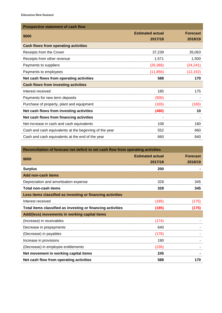| <b>Prospective statement of cash flow</b>              |                                    |                            |
|--------------------------------------------------------|------------------------------------|----------------------------|
| \$000                                                  | <b>Estimated actual</b><br>2017/18 | <b>Forecast</b><br>2018/19 |
| <b>Cash flows from operating activities</b>            |                                    |                            |
| Receipts from the Crown                                | 37,239                             | 35,063                     |
| Receipts from other revenue                            | 1,571                              | 1,500                      |
| Payments to suppliers                                  | (26, 366)                          | (24, 241)                  |
| Payments to employees                                  | (11, 856)                          | (12, 152)                  |
| Net cash flows from operating activities               | 588                                | 170                        |
| <b>Cash flows from investing activities</b>            |                                    |                            |
| Interest received                                      | 185                                | 175                        |
| Payments for new term deposits                         | (500)                              |                            |
| Purchase of property, plant and equipment              | (165)                              | (165)                      |
| Net cash flows from investing activities               | (480)                              | 10                         |
| Net cash flows from financing activities               | ۰                                  |                            |
| Net increase in cash and cash equivalents              | 108                                | 180                        |
| Cash and cash equivalents at the beginning of the year | 552                                | 660                        |
| Cash and cash equivalents at the end of the year       | 660                                | 840                        |

<span id="page-13-0"></span>

| Reconciliation of forecast net deficit to net cash flow from operating activities |                                    |                            |
|-----------------------------------------------------------------------------------|------------------------------------|----------------------------|
| \$000                                                                             | <b>Estimated actual</b><br>2017/18 | <b>Forecast</b><br>2018/19 |
| <b>Surplus</b>                                                                    | 200                                |                            |
| Add non-cash items                                                                |                                    |                            |
| Depreciation and amortisation expense                                             | 328                                | 345                        |
| <b>Total non-cash items</b>                                                       | 328                                | 345                        |
| Less items classified as investing or financing activities                        |                                    |                            |
| Interest received                                                                 | (185)                              | (175)                      |
| Total items classified as investing or financing activities                       | (185)                              | (175)                      |
| Add/(less) movements in working capital items                                     |                                    |                            |
| (Increase) in receivables                                                         | (174)                              |                            |
| Decrease in prepayments                                                           | 640                                |                            |
| (Decrease) in payables                                                            | (176)                              |                            |
| Increase in provisions                                                            | 190                                |                            |
| (Decrease) in employee entitlements                                               | (235)                              |                            |
| Net movement in working capital items                                             | 245                                |                            |
| Net cash flow from operating activities                                           | 588                                | 170                        |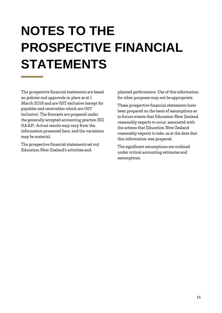## **NOTES TO THE PROSPECTIVE FINANCIAL STATEMENTS**

The prospective financial statements are based on policies and approvals in place as at 1 March 2018 and are GST exclusive (except for payables and receivables which are GST inclusive). The forecasts are prepared under the generally accepted accounting practice (NZ GAAP). Actual results may vary from the information presented here, and the variations may be material.

<span id="page-14-0"></span>The prospective financial statements set out Education New Zealand's activities and

planned performance. Use of this information for other purposes may not be appropriate.

These prospective financial statements have been prepared on the basis of assumptions as to future events that Education New Zealand reasonably expects to occur, associated with the actions that Education New Zealand reasonably expects to take, as at the date that this information was prepared.

The significant assumptions are outlined under critical accounting estimates and assumptions.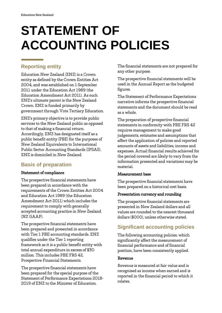## **STATEMENT OF ACCOUNTING POLICIES**

### **Reporting entity**

Education New Zealand (ENZ) is a Crown entity as defined by the Crown Entities Act 2004, and was established on 1 September 2011 under the Education Act 1989 (the Education Amendment Act 2011). As such ENZ's ultimate parent is the New Zealand Crown. ENZ is funded primarily by government through Vote Tertiary Education.

ENZ's primary objective is to provide public services to the New Zealand public as opposed to that of making a financial return. Accordingly, ENZ has designated itself as a public benefit entity (PBE) for the purposes of New Zealand Equivalents to International Public Sector Accounting Standards (IPSAS). ENZ is domiciled in New Zealand.

## **Basis of preparation**

#### Statement of compliance

The prospective financial statements have been prepared in accordance with the requirements of the Crown Entities Act 2004 and Education Act 1989 (the Education Amendment Act 2011) which includes the requirement to comply with generally accepted accounting practice in New Zealand (NZ GAAP).

The prospective financial statements have been prepared and presented in accordance with Tier 1 PBE accounting standards. ENZ qualifies under the Tier 1 reporting framework as it is a public benefit entity with total annual expenditure in excess of \$30 million. This includes PBE FRS 42, Prospective Financial Statements.

The prospective financial statements have been prepared for the special purpose of the Statement of Performance Expectations 2018- 2019 of ENZ to the Minister of Education.

The financial statements are not prepared for any other purpose.

The prospective financial statements will be used in the Annual Report as the budgeted figures.

The Statement of Performance Expectations narrative informs the prospective financial statements and the document should be read as a whole.

The preparation of prospective financial statements in conformity with PBE FRS 42 requires management to make good judgements, estimates and assumptions that affect the application of policies and reported amounts of assets and liabilities, income and expenses. Actual financial results achieved for the period covered are likely to vary from the information presented and variations may be material.

#### Measurement base

The prospective financial statements have been prepared on a historical cost basis.

#### Presentation currency and rounding

The prospective financial statements are presented in New Zealand dollars and all values are rounded to the nearest thousand dollars (\$000), unless otherwise stated.

## **Significant accounting policies**

The following accounting policies, which significantly affect the measurement of financial performance and of financial position, have been consistently applied.

#### Revenue

Revenue is measured at fair value and is recognised as income when earned and is reported in the financial period to which it relates.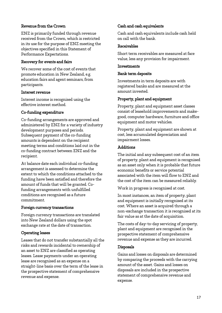#### Revenue from the Crown

ENZ is primarily funded through revenue received from the Crown, which is restricted in its use for the purpose of ENZ meeting the objectives specified in this Statement of Performance Expectations.

#### Recovery for events and fairs

We recover some of the cost of events that promote education in New Zealand, e.g. education fairs and agent seminars, from participants.

#### Interest revenue

Interest income is recognised using the effective interest method.

#### Co-funding expenditure

Co-funding arrangements are approved and administered by ENZ for a variety of industry development purposes and periods. Subsequent payment of the co-funding amounts is dependent on the recipient meeting terms and conditions laid out in the co-funding contract between ENZ and the recipient.

At balance date each individual co-funding arrangement is assessed to determine the extent to which the conditions attached to the funding have been satisfied and therefore the amount of funds that will be granted. Cofunding arrangements with unfulfilled conditions are recognised as a future commitment.

#### Foreign currency transactions

Foreign currency transactions are translated into New Zealand dollars using the spot exchange rate at the date of transaction.

#### Operating leases

Leases that do not transfer substantially all the risks and rewards incidental to ownership of an asset to ENZ are classified as operating leases. Lease payments under an operating lease are recognised as an expense on a straight-line basis over the term of the lease in the prospective statement of comprehensive revenue and expense.

#### Cash and cash equivalents

Cash and cash equivalents include cash held on call with the bank.

#### Receivables

Short term receivables are measured at face value, less any provision for impairment.

#### **Investments**

#### Bank term deposits

Investments in term deposits are with registered banks and are measured at the amount invested.

#### Property, plant and equipment

Property, plant and equipment asset classes consist of leasehold improvements and makegood, computer hardware, furniture and office equipment and motor vehicles.

Property, plant and equipment are shown at cost, less accumulated depreciation and impairment losses.

#### Additions

The initial and any subsequent cost of an item of property, plant and equipment is recognised as an asset only when it is probable that future economic benefits or service potential associated with the item will flow to ENZ and the cost of the item can be measured reliably.

Work in progress is recognised at cost.

In most instances, an item of property, plant and equipment is initially recognised at its cost. Where an asset is acquired through a non-exchange transaction it is recognised at its fair value as at the date of acquisition.

The costs of day-to-day servicing of property, plant and equipment are recognised in the prospective statement of comprehensive revenue and expense as they are incurred.

#### Disposals

Gains and losses on disposals are determined by comparing the proceeds with the carrying amount of the asset. Gains and losses on disposals are included in the prospective statement of comprehensive revenue and expense.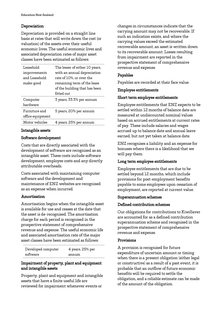#### Depreciation

Depreciation is provided on a straight line basis at rates that will write down the cost (or valuation) of the assets over their useful economic lives. The useful economic lives and associated depreciation rates of major asset classes have been estimated as follows:

| hÍodeas T<br>improvements<br>and Leasehold<br>make-good | The lesser of either 10 years,<br>with an annual depreciation<br>rate of 10%, or over the<br>remaining term of the lease<br>of the building that has been<br>fitted out |
|---------------------------------------------------------|-------------------------------------------------------------------------------------------------------------------------------------------------------------------------|
| Computer<br>hardware                                    | 3 years, 33.3% per annum                                                                                                                                                |
| Furniture and<br>office equipment                       | 5 years, 20% per annum                                                                                                                                                  |
| Motor vehicles                                          | 4 years, 25% per annum                                                                                                                                                  |

#### Intangible assets

#### Software development

Costs that are directly associated with the development of software are recognised as an intangible asset. These costs include software development, employee costs and any directly attributable overheads.

Costs associated with maintaining computer software and the development and maintenance of ENZ websites are recognised as an expense when incurred.

#### Amortisation

Amortisation begins when the intangible asset is available for use and ceases at the date that the asset is de-recognised. The amortisation charge for each period is recognised in the prospective statement of comprehensive revenue and expense. The useful economic life and associated amortisation rate of the major asset classes have been estimated as follows:

| Developed computer | 4 years, 25% per |
|--------------------|------------------|
| software           | annum            |

#### Impairment of property, plant and equipment and intangible assets

Property, plant and equipment and intangible assets that have a finite useful life are reviewed for impairment whenever events or

changes in circumstances indicate that the carrying amount may not be recoverable. If such an indication exists, and where the carrying values exceed the estimated recoverable amount, an asset is written down to its recoverable amount. Losses resulting from impairment are reported in the prospective statement of comprehensive revenue and expense.

#### Payables

Payables are recorded at their face value.

#### Employee entitlements

#### Short term employee entitlements

Employee entitlements that ENZ expects to be settled within 12 months of balance date are measured at undiscounted nominal values based on accrued entitlements at current rates of pay. These include salaries and wages accrued up to balance date and annual leave earned, but not yet taken at balance date.

ENZ recognises a liability and an expense for bonuses where there is a likelihood that we will pay them.

#### Long term employee entitlements

Employee entitlements that are due to be settled beyond 12 months, which include provisions for post-employment benefits payable to some employees upon cessation of employment, are reported at current value.

#### Superannuation schemes

#### Defined contribution schemes

Our obligations for contributions to KiwiSaver are accounted for as a defined contribution superannuation scheme and recognised in the prospective statement of comprehensive revenue and expense.

#### Provisions

A provision is recognised for future expenditure of uncertain amount or timing when there is a present obligation (either legal or constructive) as a result of a past event, it is probable that an outflow of future economic benefits will be required to settle the obligation, and a reliable estimate can be made of the amount of the obligation.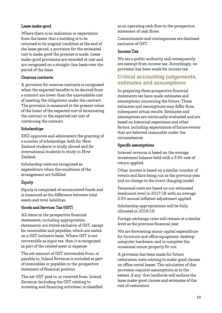#### Lease make-good

Where there is an indication or expectation from the lessor that a building is to be returned to its original condition at the end of the lease period, a provision for the estimated cost to make good the premise is made. Lease make-good provisions are recorded at cost and are recognised on a straight-line basis over the period of the lease.

#### Onerous contracts

A provision for onerous contracts is recognised when the expected benefits to be derived from a contract are lower than the unavoidable cost of meeting the obligations under the contract. The provision is measured at the present value of the lower of the expected cost of terminating the contract or the expected net cost of continuing the contract.

#### Scholarships

ENZ approves and administers the granting of a number of scholarships, both for New Zealand students to study abroad and for international students to study in New Zealand.

Scholarship costs are recognised as expenditure when the conditions of the arrangement are fulfilled.

### Equity

Equity is comprised of accumulated funds and is measured as the difference between total assets and total liabilities.

#### Goods and Services Tax (GST)

All items in the prospective financial statements, including appropriation statements, are stated exclusive of GST, except for receivables and payables, which are stated on a GST inclusive basis. Where GST is not recoverable as input tax, then it is recognised as part of the related asset or expense.

The net amount of GST recoverable from, or payable to, Inland Revenue is included as part of receivables or payables in the prospective statement of financial position.

The net GST paid to, or received from, Inland Revenue (including the GST relating to investing and financing activities), is classified as an operating cash flow in the prospective statement of cash flows.

Commitments and contingencies are disclosed exclusive of GST.

#### Income Tax

We are a public authority and consequently are exempt from income tax. Accordingly, no provision has been made for income tax.

### **Critical accounting judgements, estimates and assumptions**

In preparing these prospective financial statements we have made estimates and assumptions concerning the future. These estimates and assumptions may differ from subsequent actual results. Estimates and assumptions are continually evaluated and are based on historical experience and other factors, including expectations of future events that are believed reasonable under the circumstances.

#### Specific assumptions

Interest revenue is based on the average investment balance held with a 3.5% rate of return applied.

Other income is based on a similar number of events and fairs being run as the previous year and no change to the event charging model.

Personnel costs are based on our estimated headcount level in 2017/18 with an average 2.5% annual inflation adjustment applied.

Scholarship appropriations will be fully allocated in 2018/19.

Foreign exchange rates will remain at a similar level as the previous financial year.

We are forecasting minor capital expenditure for furniture and office equipment, desktop computer hardware, and to complete the occasional minor property fit-out.

A provision has been made for future restoration costs relating to make-good clauses on office rental leases. The calculation of this provision requires assumptions as to the extent, if any, that landlords will enforce the lease make-good clauses and estimates of the cost of restoration.